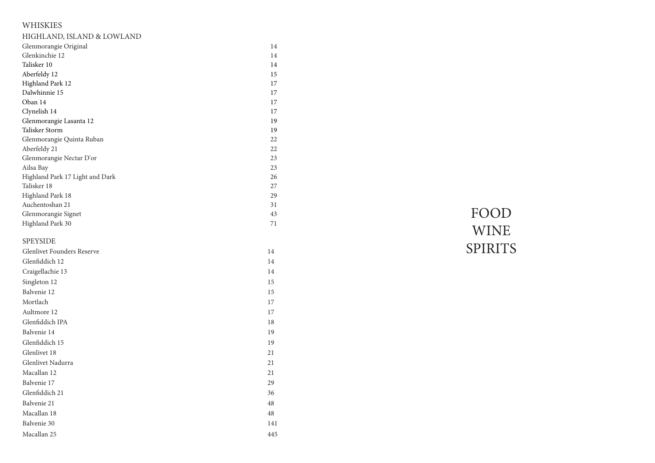# WHISKIES

| HIGHLAND, ISLAND & LOWLAND        |        |                |
|-----------------------------------|--------|----------------|
| Glenmorangie Original             | 14     |                |
| Glenkinchie 12                    | 14     |                |
| Talisker 10                       | 14     |                |
| Aberfeldy 12                      | $15\,$ |                |
| Highland Park 12                  | 17     |                |
| Dalwhinnie 15                     | 17     |                |
| Oban 14                           | 17     |                |
| Clynelish 14                      | 17     |                |
| Glenmorangie Lasanta 12           | 19     |                |
| Talisker Storm                    | 19     |                |
| Glenmorangie Quinta Ruban         | 22     |                |
| Aberfeldy 21                      | 22     |                |
| Glenmorangie Nectar D'or          | 23     |                |
| Ailsa Bay                         | 23     |                |
| Highland Park 17 Light and Dark   | 26     |                |
| Talisker 18                       | 27     |                |
| Highland Park 18                  | 29     |                |
| Auchentoshan 21                   | 31     |                |
| Glenmorangie Signet               | 43     | FOOD           |
| Highland Park 30                  | 71     | <b>WINE</b>    |
| <b>SPEYSIDE</b>                   |        |                |
| <b>Glenlivet Founders Reserve</b> | 14     | <b>SPIRITS</b> |
| Glenfiddich 12                    | 14     |                |
| Craigellachie 13                  | 14     |                |
| Singleton 12                      | 15     |                |
| Balvenie 12                       | 15     |                |
| Mortlach                          | $17\,$ |                |
| Aultmore 12                       | $17\,$ |                |
| Glenfiddich IPA                   | $18\,$ |                |
| Balvenie 14                       | 19     |                |
| Glenfiddich 15                    | 19     |                |
| Glenlivet 18                      | 21     |                |
| Glenlivet Nadurra                 | 21     |                |
| Macallan 12                       | 21     |                |
| Balvenie 17                       | 29     |                |
| Glenfiddich 21                    | 36     |                |
| Balvenie 21                       | 48     |                |
| Macallan 18                       | $48\,$ |                |
| Balvenie 30                       | 141    |                |
| Macallan 25                       | 445    |                |
|                                   |        |                |

# FOOD WINE<br>SPIRITS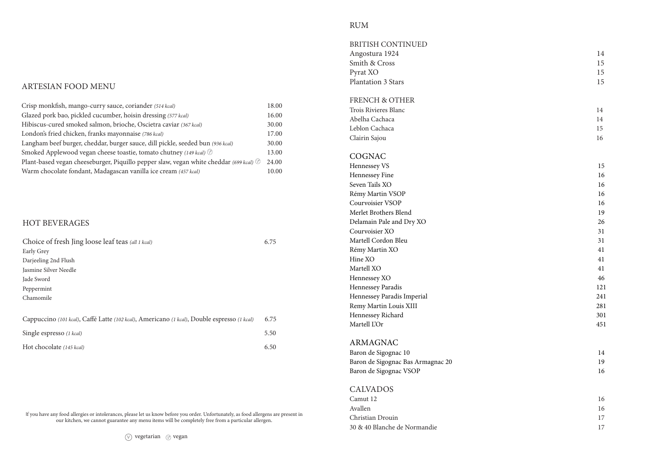#### ARTESIAN FOOD MENU

| Crisp monkfish, mango-curry sauce, coriander (514 kcal)                                | 18.00 |  |
|----------------------------------------------------------------------------------------|-------|--|
| Glazed pork bao, pickled cucumber, hoisin dressing (577 kcal)                          |       |  |
| Hibiscus-cured smoked salmon, brioche, Oscietra caviar (367 kcal)                      | 30.00 |  |
| London's fried chicken, franks mayonnaise (786 kcal)                                   | 17.00 |  |
| Langham beef burger, cheddar, burger sauce, dill pickle, seeded bun (936 kcal)         |       |  |
| Smoked Applewood vegan cheese toastie, tomato chutney (149 kcal) <sup>®</sup>          |       |  |
| Plant-based vegan cheeseburger, Piquillo pepper slaw, vegan white cheddar (699 kcal) ® |       |  |
| Warm chocolate fondant, Madagascan vanilla ice cream (457 kcal)                        |       |  |
|                                                                                        |       |  |

### HOT BEVERAGES

| Choice of fresh Jing loose leaf teas (all 1 kcal)                                           | 6.75 |
|---------------------------------------------------------------------------------------------|------|
| Early Grey                                                                                  |      |
| Darjeeling 2nd Flush                                                                        |      |
| Jasmine Silver Needle                                                                       |      |
| Jade Sword                                                                                  |      |
| Peppermint                                                                                  |      |
| Chamomile                                                                                   |      |
|                                                                                             |      |
| Cappuccino (101 kcal), Caffé Latte (102 kcal), Americano (1 kcal), Double espresso (1 kcal) | 6.75 |
| Single espresso (1 kcal)                                                                    | 5.50 |
| Hot chocolate (145 kcal)                                                                    | 6.50 |

If you have any food allergies or intolerances, please let us know before you order. Unfortunately, as food allergens are present in our kitchen, we cannot guarantee any menu items will be completely free from a particular allergen .

#### RUM

| <b>BRITISH CONTINUED</b>          |     |
|-----------------------------------|-----|
| Angostura 1924                    | 14  |
| Smith & Cross                     | 15  |
| Pyrat XO                          | 15  |
| Plantation 3 Stars                | 15  |
| <b>FRENCH &amp; OTHER</b>         |     |
| Trois Rivieres Blanc              | 14  |
| Abelha Cachaca                    | 14  |
| Leblon Cachaca                    | 15  |
| Clairin Sajou                     | 16  |
| COGNAC                            |     |
| Hennessey VS                      | 15  |
| Hennessey Fine                    | 16  |
| Seven Tails XO                    | 16  |
| Rémy Martin VSOP                  | 16  |
| Courvoisier VSOP                  | 16  |
| Merlet Brothers Blend             | 19  |
| Delamain Pale and Dry XO          | 26  |
| Courvoisier XO                    | 31  |
| Martell Cordon Bleu               | 31  |
| Rémy Martin XO                    | 41  |
| Hine XO                           | 41  |
| Martell XO                        | 41  |
| Hennessey XO                      | 46  |
| Hennessey Paradis                 | 121 |
| Hennessey Paradis Imperial        | 241 |
| Remy Martin Louis XIII            | 281 |
| Hennessey Richard                 | 301 |
| Martell L'Or                      | 451 |
| ARMAGNAC                          |     |
| Baron de Sigognac 10              | 14  |
| Baron de Sigognac Bas Armagnac 20 | 19  |
| Baron de Sigognac VSOP            | 16  |
| <b>CALVADOS</b>                   |     |
| Camut 12                          | 16  |
| Avallen                           | 16  |
| Christian Drouin                  | 17  |
| 30 & 40 Blanche de Normandie      | 17  |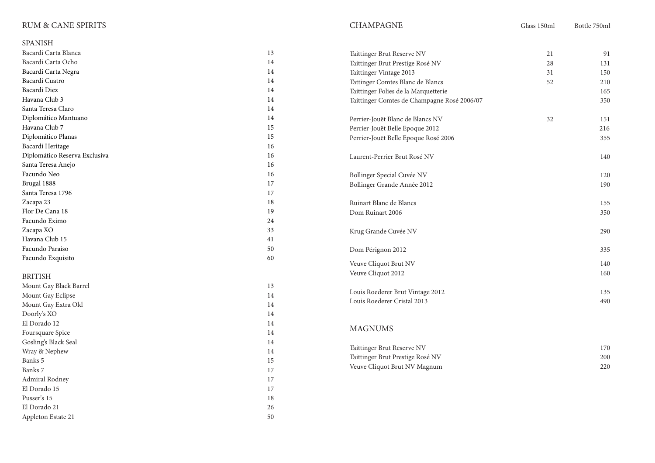## RUM & CANE SPIRITS

El Dorado 15

Appleton Estate  $21$ 

Admiral Rodney 17<br>El Dorado 15 17

Pusser's 15 18 El Dorado 21 26<br>Appleton Estate 21 30

| <b>SPANISH</b>                |        |                                             |        |     |
|-------------------------------|--------|---------------------------------------------|--------|-----|
| Bacardi Carta Blanca          | 13     | Taittinger Brut Reserve NV                  | 21     | 91  |
| Bacardi Carta Ocho            | 14     | Taittinger Brut Prestige Rosé NV            | $28\,$ | 131 |
| Bacardi Carta Negra           | 14     | Taittinger Vintage 2013                     | 31     | 150 |
| Bacardi Cuatro                | 14     | Tattinger Comtes Blanc de Blancs            | 52     | 210 |
| Bacardi Diez                  | 14     | Taittinger Folies de la Marquetterie        |        | 165 |
| Havana Club 3                 | 14     | Taittinger Comtes de Champagne Rosé 2006/07 |        | 350 |
| Santa Teresa Claro            | 14     |                                             |        |     |
| Diplomático Mantuano          | 14     | Perrier-Jouët Blanc de Blancs NV            | 32     | 151 |
| Havana Club 7                 | 15     | Perrier-Jouët Belle Epoque 2012             |        | 216 |
| Diplomático Planas            | 15     | Perrier-Jouët Belle Epoque Rosé 2006        |        | 355 |
| Bacardi Heritage              | 16     |                                             |        |     |
| Diplomático Reserva Exclusiva | 16     | Laurent-Perrier Brut Rosé NV                |        | 140 |
| Santa Teresa Anejo            | 16     |                                             |        |     |
| Facundo Neo                   | 16     | Bollinger Special Cuvée NV                  |        | 120 |
| Brugal 1888                   | 17     | Bollinger Grande Année 2012                 |        | 190 |
| Santa Teresa 1796             | 17     |                                             |        |     |
| Zacapa 23                     | $18\,$ | Ruinart Blanc de Blancs                     |        | 155 |
| Flor De Cana 18               | 19     | Dom Ruinart 2006                            |        | 350 |
| Facundo Eximo                 | 24     |                                             |        |     |
| Zacapa XO                     | 33     | Krug Grande Cuvée NV                        |        | 290 |
| Havana Club 15                | 41     |                                             |        |     |
| Facundo Paraiso               | 50     | Dom Pérignon 2012                           |        | 335 |
| Facundo Exquisito             | 60     |                                             |        |     |
|                               |        | Veuve Cliquot Brut NV                       |        | 140 |
| <b>BRITISH</b>                |        | Veuve Cliquot 2012                          |        | 160 |
| Mount Gay Black Barrel        | 13     |                                             |        |     |
| Mount Gay Eclipse             | 14     | Louis Roederer Brut Vintage 2012            |        | 135 |
| Mount Gay Extra Old           | 14     | Louis Roederer Cristal 2013                 |        | 490 |
| Doorly's XO                   | 14     |                                             |        |     |
| El Dorado 12                  | 14     | <b>MAGNUMS</b>                              |        |     |
| Foursquare Spice              | 14     |                                             |        |     |
| Gosling's Black Seal          | 14     |                                             |        |     |
| Wray & Nephew                 | 14     | Taittinger Brut Reserve NV                  |        | 170 |
| Banks 5                       | 15     | Taittinger Brut Prestige Rosé NV            |        | 200 |
| Banks 7                       | 17     | Veuve Cliquot Brut NV Magnum                |        | 220 |

CHAMPAGNE Glass 150ml Bottle 750ml